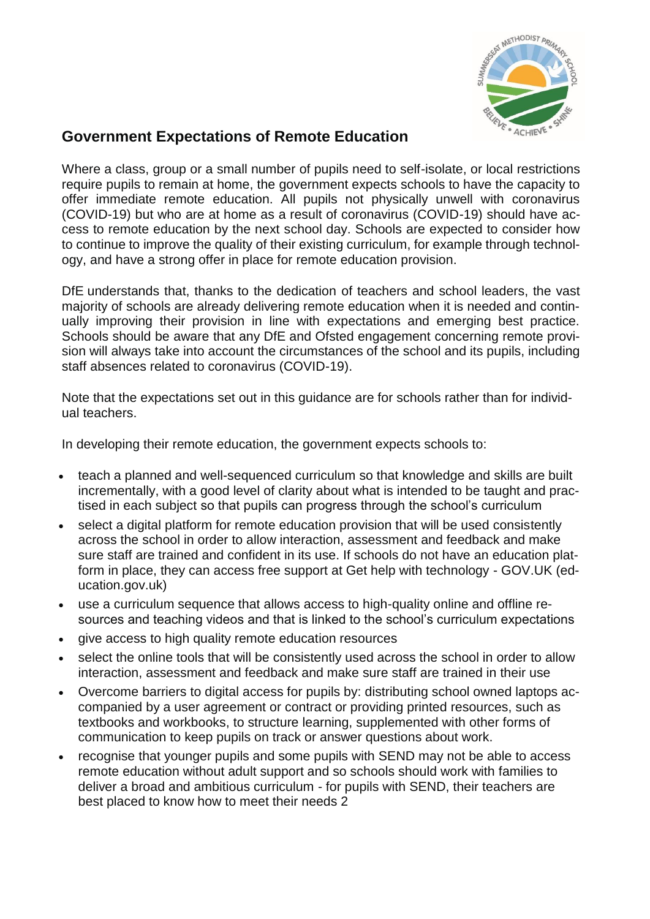

### **Government Expectations of Remote Education**

Where a class, group or a small number of pupils need to self-isolate, or local restrictions require pupils to remain at home, the government expects schools to have the capacity to offer immediate remote education. All pupils not physically unwell with coronavirus (COVID-19) but who are at home as a result of coronavirus (COVID-19) should have access to remote education by the next school day. Schools are expected to consider how to continue to improve the quality of their existing curriculum, for example through technology, and have a strong offer in place for remote education provision.

DfE understands that, thanks to the dedication of teachers and school leaders, the vast majority of schools are already delivering remote education when it is needed and continually improving their provision in line with expectations and emerging best practice. Schools should be aware that any DfE and Ofsted engagement concerning remote provision will always take into account the circumstances of the school and its pupils, including staff absences related to coronavirus (COVID-19).

Note that the expectations set out in this guidance are for schools rather than for individual teachers.

In developing their remote education, the government expects schools to:

- teach a planned and well-sequenced curriculum so that knowledge and skills are built incrementally, with a good level of clarity about what is intended to be taught and practised in each subject so that pupils can progress through the school's curriculum
- select a digital platform for remote education provision that will be used consistently across the school in order to allow interaction, assessment and feedback and make sure staff are trained and confident in its use. If schools do not have an education platform in place, they can access free support at Get help with technology - GOV.UK (education.gov.uk)
- use a curriculum sequence that allows access to high-quality online and offline resources and teaching videos and that is linked to the school's curriculum expectations
- give access to high quality remote education resources
- select the online tools that will be consistently used across the school in order to allow interaction, assessment and feedback and make sure staff are trained in their use
- Overcome barriers to digital access for pupils by: distributing school owned laptops accompanied by a user agreement or contract or providing printed resources, such as textbooks and workbooks, to structure learning, supplemented with other forms of communication to keep pupils on track or answer questions about work.
- recognise that younger pupils and some pupils with SEND may not be able to access remote education without adult support and so schools should work with families to deliver a broad and ambitious curriculum - for pupils with SEND, their teachers are best placed to know how to meet their needs 2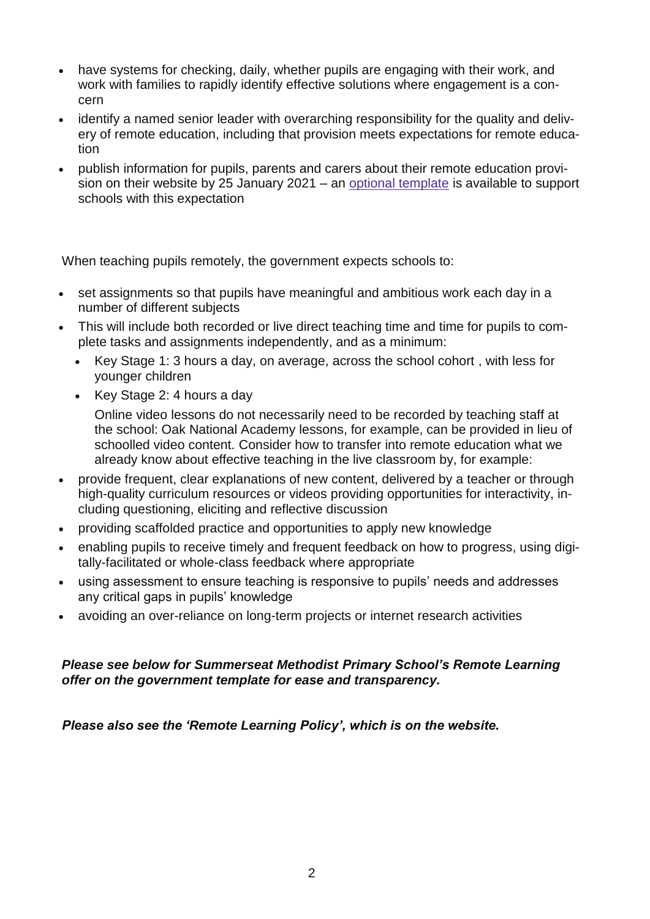- have systems for checking, daily, whether pupils are engaging with their work, and work with families to rapidly identify effective solutions where engagement is a concern
- identify a named senior leader with overarching responsibility for the quality and delivery of remote education, including that provision meets expectations for remote education
- publish information for pupils, parents and carers about their remote education provision on their website by 25 January 2021 – an [optional template](https://www.gov.uk/government/publications/providing-remote-education-information-to-parents-template) is available to support schools with this expectation

When teaching pupils remotely, the government expects schools to:

- set assignments so that pupils have meaningful and ambitious work each day in a number of different subjects
- This will include both recorded or live direct teaching time and time for pupils to complete tasks and assignments independently, and as a minimum:
	- Key Stage 1: 3 hours a day, on average, across the school cohort , with less for younger children
	- Key Stage 2: 4 hours a day

Online video lessons do not necessarily need to be recorded by teaching staff at the school: Oak National Academy lessons, for example, can be provided in lieu of schoolled video content. Consider how to transfer into remote education what we already know about effective teaching in the live classroom by, for example:

- provide frequent, clear explanations of new content, delivered by a teacher or through high-quality curriculum resources or videos providing opportunities for interactivity, including questioning, eliciting and reflective discussion
- providing scaffolded practice and opportunities to apply new knowledge
- enabling pupils to receive timely and frequent feedback on how to progress, using digitally-facilitated or whole-class feedback where appropriate
- using assessment to ensure teaching is responsive to pupils' needs and addresses any critical gaps in pupils' knowledge
- avoiding an over-reliance on long-term projects or internet research activities

#### *Please see below for Summerseat Methodist Primary School's Remote Learning offer on the government template for ease and transparency.*

*Please also see the 'Remote Learning Policy', which is on the website.*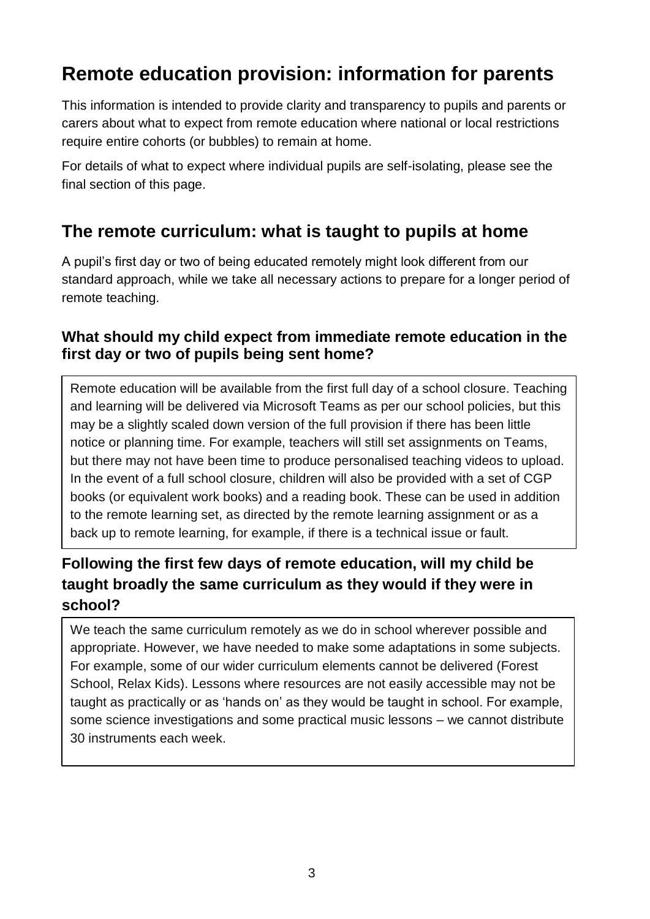# **Remote education provision: information for parents**

This information is intended to provide clarity and transparency to pupils and parents or carers about what to expect from remote education where national or local restrictions require entire cohorts (or bubbles) to remain at home.

For details of what to expect where individual pupils are self-isolating, please see the final section of this page.

# **The remote curriculum: what is taught to pupils at home**

A pupil's first day or two of being educated remotely might look different from our standard approach, while we take all necessary actions to prepare for a longer period of remote teaching.

#### **What should my child expect from immediate remote education in the first day or two of pupils being sent home?**

Remote education will be available from the first full day of a school closure. Teaching and learning will be delivered via Microsoft Teams as per our school policies, but this may be a slightly scaled down version of the full provision if there has been little notice or planning time. For example, teachers will still set assignments on Teams, but there may not have been time to produce personalised teaching videos to upload. In the event of a full school closure, children will also be provided with a set of CGP books (or equivalent work books) and a reading book. These can be used in addition to the remote learning set, as directed by the remote learning assignment or as a back up to remote learning, for example, if there is a technical issue or fault.

## **Following the first few days of remote education, will my child be taught broadly the same curriculum as they would if they were in school?**

We teach the same curriculum remotely as we do in school wherever possible and appropriate. However, we have needed to make some adaptations in some subjects. For example, some of our wider curriculum elements cannot be delivered (Forest School, Relax Kids). Lessons where resources are not easily accessible may not be taught as practically or as 'hands on' as they would be taught in school. For example, some science investigations and some practical music lessons – we cannot distribute 30 instruments each week.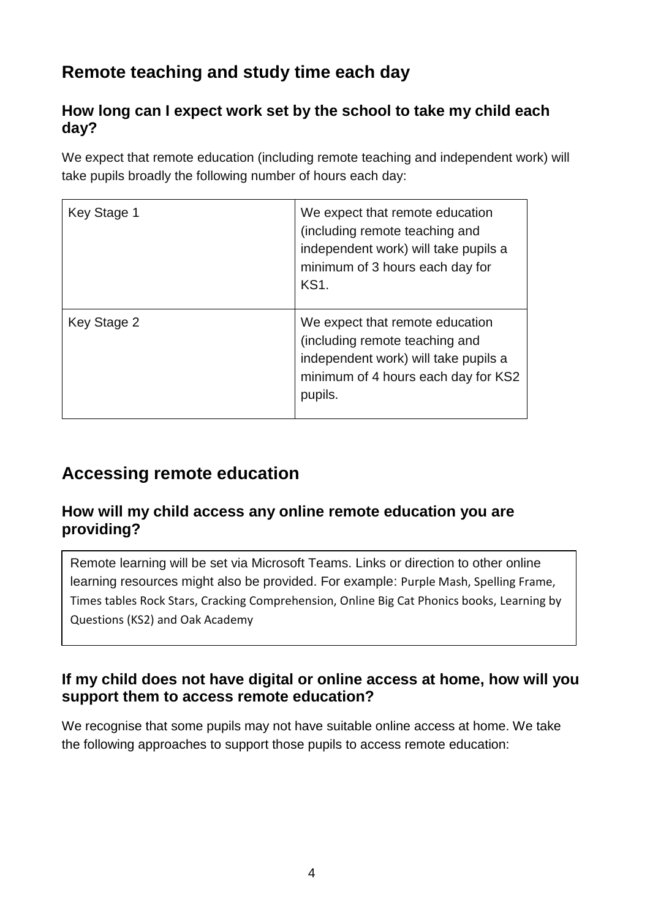# **Remote teaching and study time each day**

### **How long can I expect work set by the school to take my child each day?**

We expect that remote education (including remote teaching and independent work) will take pupils broadly the following number of hours each day:

| Key Stage 1 | We expect that remote education<br>(including remote teaching and<br>independent work) will take pupils a<br>minimum of 3 hours each day for<br><b>KS1.</b> |
|-------------|-------------------------------------------------------------------------------------------------------------------------------------------------------------|
| Key Stage 2 | We expect that remote education<br>(including remote teaching and<br>independent work) will take pupils a<br>minimum of 4 hours each day for KS2<br>pupils. |

# **Accessing remote education**

#### **How will my child access any online remote education you are providing?**

Remote learning will be set via Microsoft Teams. Links or direction to other online learning resources might also be provided. For example: Purple Mash, Spelling Frame, Times tables Rock Stars, Cracking Comprehension, Online Big Cat Phonics books, Learning by Questions (KS2) and Oak Academy

### **If my child does not have digital or online access at home, how will you support them to access remote education?**

We recognise that some pupils may not have suitable online access at home. We take the following approaches to support those pupils to access remote education: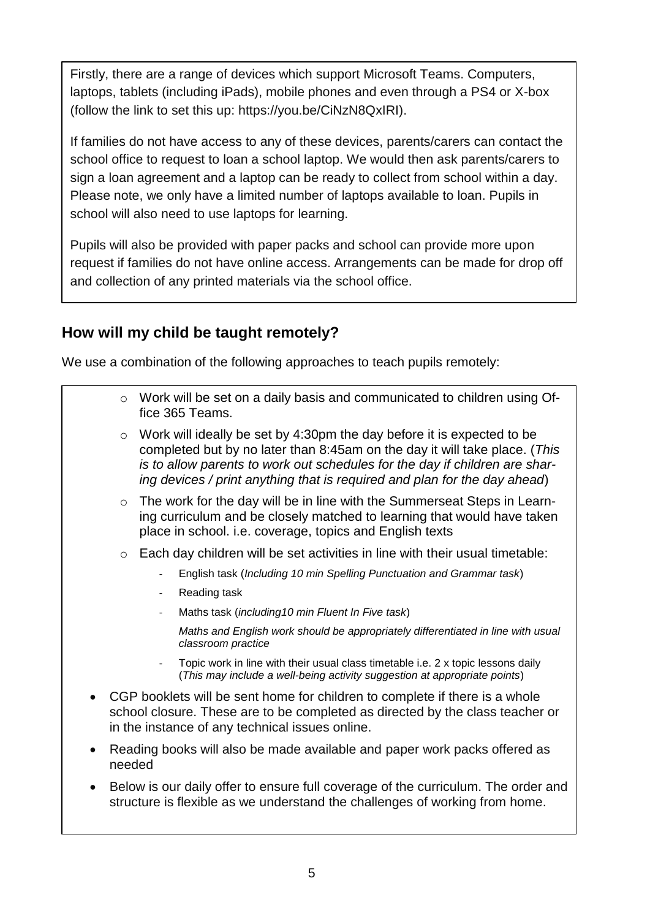Firstly, there are a range of devices which support Microsoft Teams. Computers, laptops, tablets (including iPads), mobile phones and even through a PS4 or X-box (follow the link to set this up: https://you.be/CiNzN8QxIRI).

If families do not have access to any of these devices, parents/carers can contact the school office to request to loan a school laptop. We would then ask parents/carers to sign a loan agreement and a laptop can be ready to collect from school within a day. Please note, we only have a limited number of laptops available to loan. Pupils in school will also need to use laptops for learning.

Pupils will also be provided with paper packs and school can provide more upon request if families do not have online access. Arrangements can be made for drop off and collection of any printed materials via the school office.

### **How will my child be taught remotely?**

We use a combination of the following approaches to teach pupils remotely:

- o Work will be set on a daily basis and communicated to children using Office 365 Teams.
- $\circ$  Work will ideally be set by 4:30pm the day before it is expected to be completed but by no later than 8:45am on the day it will take place. (*This is to allow parents to work out schedules for the day if children are sharing devices / print anything that is required and plan for the day ahead*)
- o The work for the day will be in line with the Summerseat Steps in Learning curriculum and be closely matched to learning that would have taken place in school. i.e. coverage, topics and English texts
- $\circ$  Each day children will be set activities in line with their usual timetable:
	- English task (*Including 10 min Spelling Punctuation and Grammar task*)
	- Reading task
	- Maths task (*including10 min Fluent In Five task*)

*Maths and English work should be appropriately differentiated in line with usual classroom practice*

- Topic work in line with their usual class timetable i.e. 2 x topic lessons daily (*This may include a well-being activity suggestion at appropriate points*)
- CGP booklets will be sent home for children to complete if there is a whole school closure. These are to be completed as directed by the class teacher or in the instance of any technical issues online.
- Reading books will also be made available and paper work packs offered as needed
- Below is our daily offer to ensure full coverage of the curriculum. The order and structure is flexible as we understand the challenges of working from home.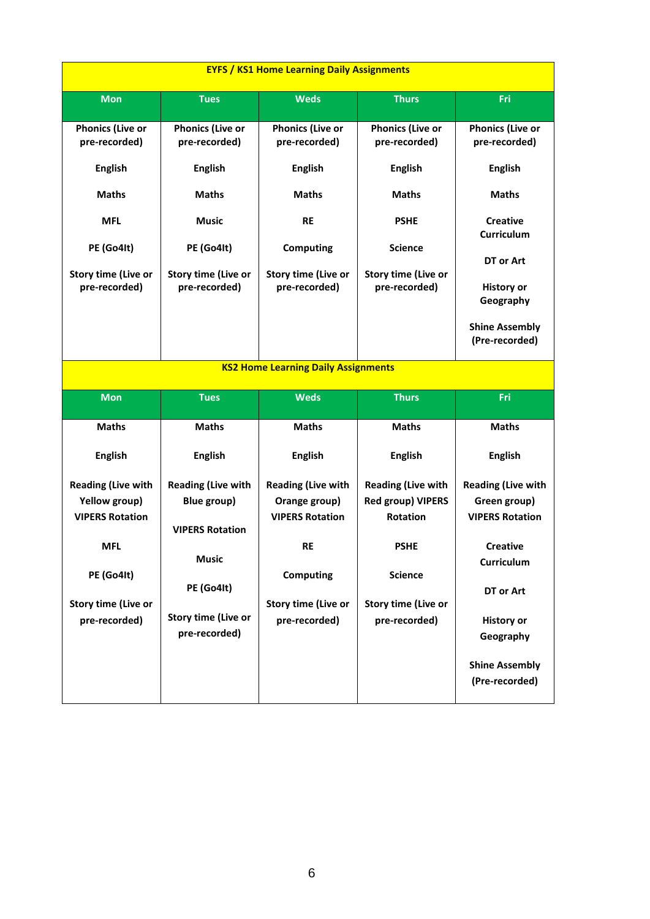| <b>EYFS / KS1 Home Learning Daily Assignments</b>                                                                                        |                                                                                                                                                 |                                                                                                                                                      |                                                                                                                                                   |                                                                                                                                                     |  |  |
|------------------------------------------------------------------------------------------------------------------------------------------|-------------------------------------------------------------------------------------------------------------------------------------------------|------------------------------------------------------------------------------------------------------------------------------------------------------|---------------------------------------------------------------------------------------------------------------------------------------------------|-----------------------------------------------------------------------------------------------------------------------------------------------------|--|--|
| <b>Mon</b>                                                                                                                               | <b>Tues</b>                                                                                                                                     | <b>Weds</b>                                                                                                                                          | <b>Thurs</b>                                                                                                                                      | Fri                                                                                                                                                 |  |  |
| <b>Phonics (Live or</b><br>pre-recorded)<br><b>English</b>                                                                               | <b>Phonics (Live or</b><br>pre-recorded)<br><b>English</b>                                                                                      | <b>Phonics (Live or</b><br>pre-recorded)<br><b>English</b>                                                                                           | <b>Phonics (Live or</b><br>pre-recorded)<br><b>English</b>                                                                                        | <b>Phonics (Live or</b><br>pre-recorded)<br><b>English</b>                                                                                          |  |  |
| <b>Maths</b>                                                                                                                             | <b>Maths</b>                                                                                                                                    | <b>Maths</b>                                                                                                                                         | <b>Maths</b>                                                                                                                                      | <b>Maths</b>                                                                                                                                        |  |  |
| <b>MFL</b><br>PE (Go4It)<br><b>Story time (Live or</b><br>pre-recorded)                                                                  | <b>Music</b><br>PE (Go4It)<br><b>Story time (Live or</b><br>pre-recorded)                                                                       | <b>RE</b><br><b>Computing</b><br>Story time (Live or<br>pre-recorded)                                                                                | <b>PSHE</b><br><b>Science</b><br>Story time (Live or<br>pre-recorded)                                                                             | <b>Creative</b><br>Curriculum<br>DT or Art<br><b>History or</b><br>Geography<br><b>Shine Assembly</b><br>(Pre-recorded)                             |  |  |
| <b>KS2 Home Learning Daily Assignments</b>                                                                                               |                                                                                                                                                 |                                                                                                                                                      |                                                                                                                                                   |                                                                                                                                                     |  |  |
| <b>Mon</b>                                                                                                                               | <b>Tues</b>                                                                                                                                     | <b>Weds</b>                                                                                                                                          | <b>Thurs</b>                                                                                                                                      | Fri                                                                                                                                                 |  |  |
| <b>Maths</b>                                                                                                                             | <b>Maths</b>                                                                                                                                    | <b>Maths</b>                                                                                                                                         |                                                                                                                                                   |                                                                                                                                                     |  |  |
| <b>English</b>                                                                                                                           |                                                                                                                                                 |                                                                                                                                                      | <b>Maths</b>                                                                                                                                      | <b>Maths</b>                                                                                                                                        |  |  |
|                                                                                                                                          | <b>English</b>                                                                                                                                  | <b>English</b>                                                                                                                                       | <b>English</b>                                                                                                                                    | <b>English</b>                                                                                                                                      |  |  |
| <b>Reading (Live with</b><br>Yellow group)<br><b>VIPERS Rotation</b><br>MFI<br>PE (Go4It)<br><b>Story time (Live or</b><br>pre-recorded) | <b>Reading (Live with</b><br>Blue group)<br><b>VIPERS Rotation</b><br><b>Music</b><br>PE (Go4It)<br><b>Story time (Live or</b><br>pre-recorded) | <b>Reading (Live with</b><br>Orange group)<br><b>VIPERS Rotation</b><br><b>RE</b><br><b>Computing</b><br><b>Story time (Live or</b><br>pre-recorded) | <b>Reading (Live with</b><br><b>Red group) VIPERS</b><br>Rotation<br><b>PSHE</b><br><b>Science</b><br><b>Story time (Live or</b><br>pre-recorded) | <b>Reading (Live with</b><br>Green group)<br><b>VIPERS Rotation</b><br><b>Creative</b><br>Curriculum<br>DT or Art<br><b>History or</b><br>Geography |  |  |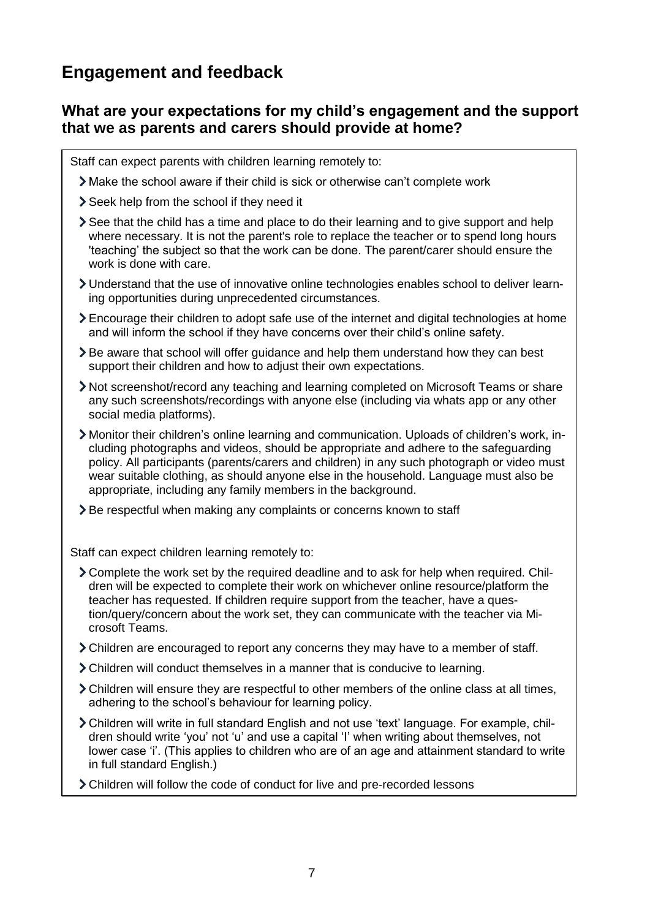# **Engagement and feedback**

#### **What are your expectations for my child's engagement and the support that we as parents and carers should provide at home?**

Staff can expect parents with children learning remotely to:

- Make the school aware if their child is sick or otherwise can't complete work
- Seek help from the school if they need it
- See that the child has a time and place to do their learning and to give support and help where necessary. It is not the parent's role to replace the teacher or to spend long hours 'teaching' the subject so that the work can be done. The parent/carer should ensure the work is done with care.
- Understand that the use of innovative online technologies enables school to deliver learning opportunities during unprecedented circumstances.
- Encourage their children to adopt safe use of the internet and digital technologies at home and will inform the school if they have concerns over their child's online safety.
- $\geq$  Be aware that school will offer guidance and help them understand how they can best support their children and how to adjust their own expectations.
- Not screenshot/record any teaching and learning completed on Microsoft Teams or share any such screenshots/recordings with anyone else (including via whats app or any other social media platforms).
- Monitor their children's online learning and communication. Uploads of children's work, including photographs and videos, should be appropriate and adhere to the safeguarding policy. All participants (parents/carers and children) in any such photograph or video must wear suitable clothing, as should anyone else in the household. Language must also be appropriate, including any family members in the background.
- Be respectful when making any complaints or concerns known to staff

Staff can expect children learning remotely to:

- Complete the work set by the required deadline and to ask for help when required. Children will be expected to complete their work on whichever online resource/platform the teacher has requested. If children require support from the teacher, have a question/query/concern about the work set, they can communicate with the teacher via Microsoft Teams.
- Children are encouraged to report any concerns they may have to a member of staff.
- Children will conduct themselves in a manner that is conducive to learning.
- Children will ensure they are respectful to other members of the online class at all times, adhering to the school's behaviour for learning policy.
- Children will write in full standard English and not use 'text' language. For example, children should write 'you' not 'u' and use a capital 'I' when writing about themselves, not lower case 'i'. (This applies to children who are of an age and attainment standard to write in full standard English.)
- Children will follow the code of conduct for live and pre-recorded lessons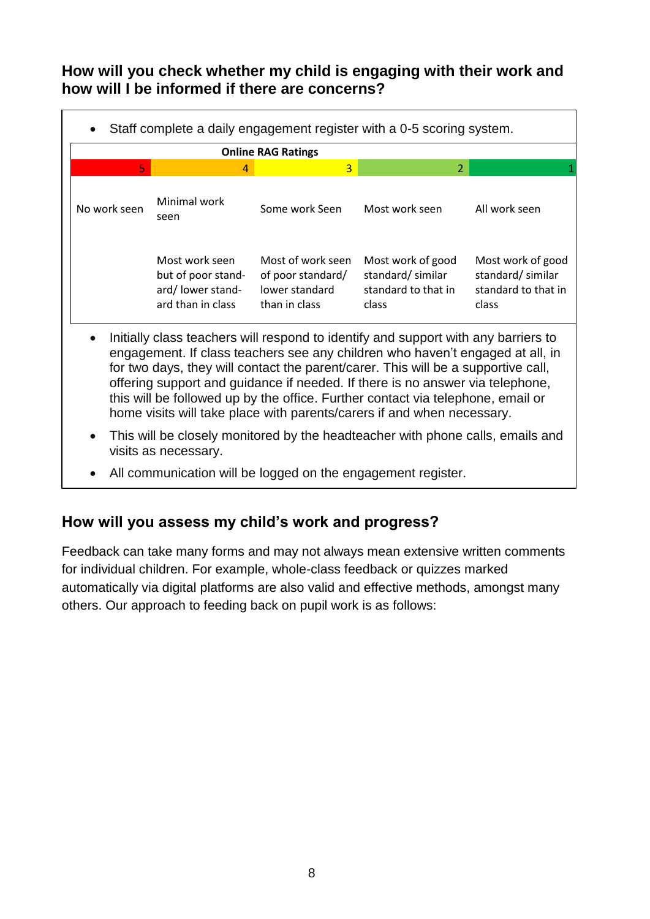### **How will you check whether my child is engaging with their work and how will I be informed if there are concerns?**

| Staff complete a daily engagement register with a 0-5 scoring system.<br>$\bullet$ |                                                                               |                                                                           |                                                                       |                                                                       |  |  |
|------------------------------------------------------------------------------------|-------------------------------------------------------------------------------|---------------------------------------------------------------------------|-----------------------------------------------------------------------|-----------------------------------------------------------------------|--|--|
| <b>Online RAG Ratings</b>                                                          |                                                                               |                                                                           |                                                                       |                                                                       |  |  |
| 5.                                                                                 | 4                                                                             | 3                                                                         | $\mathcal{P}$                                                         |                                                                       |  |  |
| No work seen                                                                       | Minimal work<br>seen                                                          | Some work Seen                                                            | Most work seen                                                        | All work seen                                                         |  |  |
|                                                                                    | Most work seen<br>but of poor stand-<br>ard/lower stand-<br>ard than in class | Most of work seen<br>of poor standard/<br>lower standard<br>than in class | Most work of good<br>standard/similar<br>standard to that in<br>class | Most work of good<br>standard/similar<br>standard to that in<br>class |  |  |

- Initially class teachers will respond to identify and support with any barriers to engagement. If class teachers see any children who haven't engaged at all, in for two days, they will contact the parent/carer. This will be a supportive call, offering support and guidance if needed. If there is no answer via telephone, this will be followed up by the office. Further contact via telephone, email or home visits will take place with parents/carers if and when necessary.
- This will be closely monitored by the headteacher with phone calls, emails and visits as necessary.
- All communication will be logged on the engagement register.

#### **How will you assess my child's work and progress?**

Feedback can take many forms and may not always mean extensive written comments for individual children. For example, whole-class feedback or quizzes marked automatically via digital platforms are also valid and effective methods, amongst many others. Our approach to feeding back on pupil work is as follows: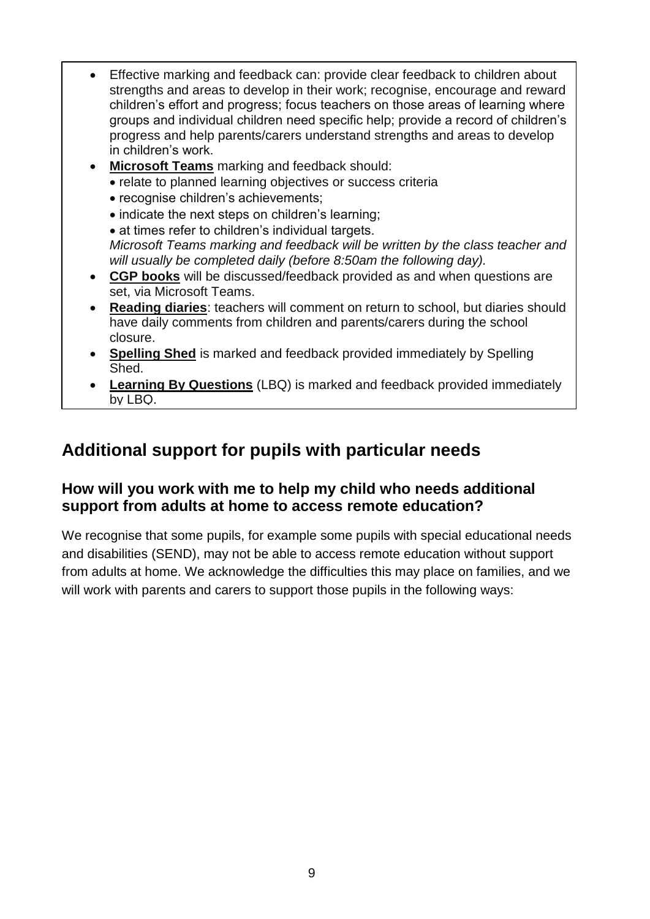- Effective marking and feedback can: provide clear feedback to children about strengths and areas to develop in their work; recognise, encourage and reward children's effort and progress; focus teachers on those areas of learning where groups and individual children need specific help; provide a record of children's progress and help parents/carers understand strengths and areas to develop in children's work.
- **Microsoft Teams** marking and feedback should:
	- relate to planned learning objectives or success criteria
	- recognise children's achievements;
	- indicate the next steps on children's learning:
	- at times refer to children's individual targets.

*Microsoft Teams marking and feedback will be written by the class teacher and will usually be completed daily (before 8:50am the following day).*

- **CGP books** will be discussed/feedback provided as and when questions are set, via Microsoft Teams.
- **Reading diaries**: teachers will comment on return to school, but diaries should have daily comments from children and parents/carers during the school closure.
- **Spelling Shed** is marked and feedback provided immediately by Spelling Shed.
- **Learning By Questions** (LBQ) is marked and feedback provided immediately by LBQ.

# **Additional support for pupils with particular needs**

#### **How will you work with me to help my child who needs additional support from adults at home to access remote education?**

We recognise that some pupils, for example some pupils with special educational needs and disabilities (SEND), may not be able to access remote education without support from adults at home. We acknowledge the difficulties this may place on families, and we will work with parents and carers to support those pupils in the following ways: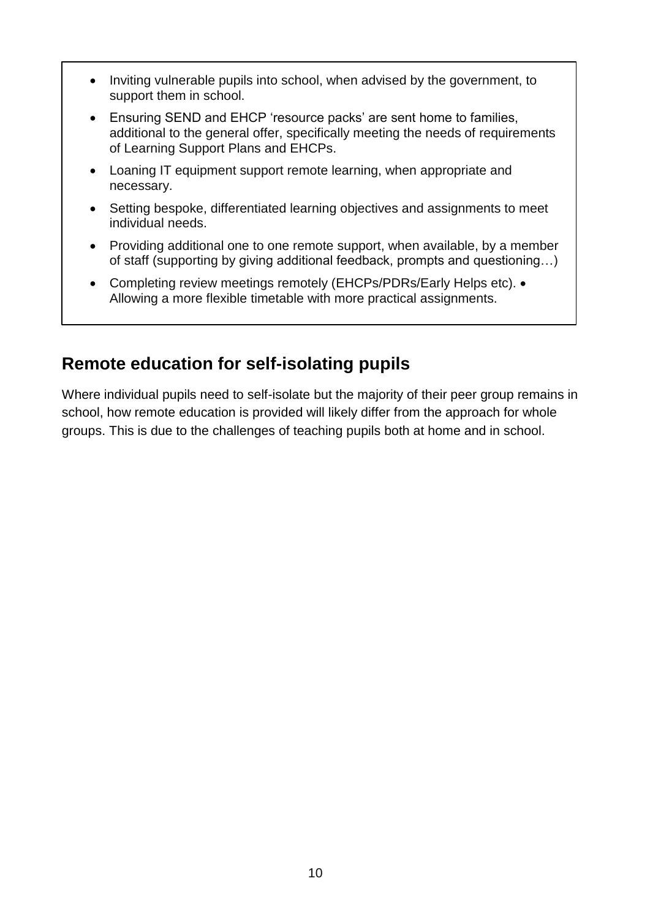- Inviting vulnerable pupils into school, when advised by the government, to support them in school.
- Ensuring SEND and EHCP 'resource packs' are sent home to families, additional to the general offer, specifically meeting the needs of requirements of Learning Support Plans and EHCPs.
- Loaning IT equipment support remote learning, when appropriate and necessary.
- Setting bespoke, differentiated learning objectives and assignments to meet individual needs.
- Providing additional one to one remote support, when available, by a member of staff (supporting by giving additional feedback, prompts and questioning…)
- Completing review meetings remotely (EHCPs/PDRs/Early Helps etc). Allowing a more flexible timetable with more practical assignments.

## **Remote education for self-isolating pupils**

Where individual pupils need to self-isolate but the majority of their peer group remains in school, how remote education is provided will likely differ from the approach for whole groups. This is due to the challenges of teaching pupils both at home and in school.